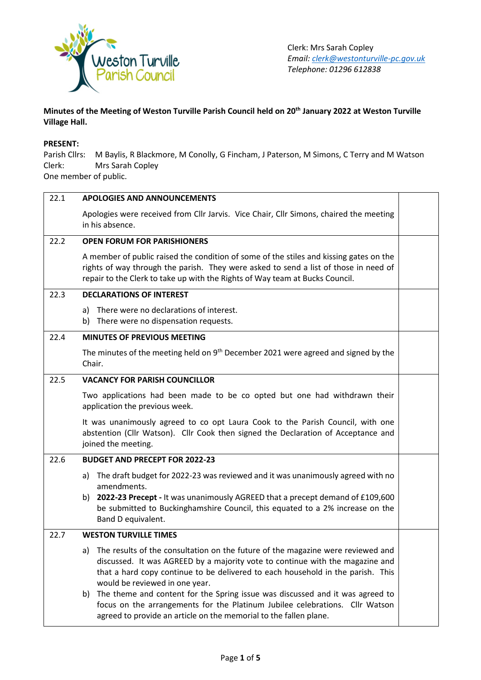

## **Minutes of the Meeting of Weston Turville Parish Council held on 20th January 2022 at Weston Turville Village Hall.**

### **PRESENT:**

Parish Cllrs: M Baylis, R Blackmore, M Conolly, G Fincham, J Paterson, M Simons, C Terry and M Watson Clerk: Mrs Sarah Copley

One member of public.

| 22.1 | <b>APOLOGIES AND ANNOUNCEMENTS</b>                                                                                                                                                                                                                                                          |  |  |  |  |
|------|---------------------------------------------------------------------------------------------------------------------------------------------------------------------------------------------------------------------------------------------------------------------------------------------|--|--|--|--|
|      | Apologies were received from Cllr Jarvis. Vice Chair, Cllr Simons, chaired the meeting<br>in his absence.                                                                                                                                                                                   |  |  |  |  |
| 22.2 | <b>OPEN FORUM FOR PARISHIONERS</b>                                                                                                                                                                                                                                                          |  |  |  |  |
|      | A member of public raised the condition of some of the stiles and kissing gates on the<br>rights of way through the parish. They were asked to send a list of those in need of<br>repair to the Clerk to take up with the Rights of Way team at Bucks Council.                              |  |  |  |  |
| 22.3 | <b>DECLARATIONS OF INTEREST</b>                                                                                                                                                                                                                                                             |  |  |  |  |
|      | a) There were no declarations of interest.<br>There were no dispensation requests.<br>b)                                                                                                                                                                                                    |  |  |  |  |
| 22.4 | <b>MINUTES OF PREVIOUS MEETING</b>                                                                                                                                                                                                                                                          |  |  |  |  |
|      | The minutes of the meeting held on 9 <sup>th</sup> December 2021 were agreed and signed by the<br>Chair.                                                                                                                                                                                    |  |  |  |  |
| 22.5 | <b>VACANCY FOR PARISH COUNCILLOR</b>                                                                                                                                                                                                                                                        |  |  |  |  |
|      | Two applications had been made to be co opted but one had withdrawn their<br>application the previous week.                                                                                                                                                                                 |  |  |  |  |
|      | It was unanimously agreed to co opt Laura Cook to the Parish Council, with one<br>abstention (Cllr Watson). Cllr Cook then signed the Declaration of Acceptance and<br>joined the meeting.                                                                                                  |  |  |  |  |
| 22.6 | <b>BUDGET AND PRECEPT FOR 2022-23</b>                                                                                                                                                                                                                                                       |  |  |  |  |
|      | The draft budget for 2022-23 was reviewed and it was unanimously agreed with no<br>a)<br>amendments.                                                                                                                                                                                        |  |  |  |  |
|      | 2022-23 Precept - It was unanimously AGREED that a precept demand of £109,600<br>b)                                                                                                                                                                                                         |  |  |  |  |
|      | be submitted to Buckinghamshire Council, this equated to a 2% increase on the<br>Band D equivalent.                                                                                                                                                                                         |  |  |  |  |
| 22.7 | <b>WESTON TURVILLE TIMES</b>                                                                                                                                                                                                                                                                |  |  |  |  |
|      | The results of the consultation on the future of the magazine were reviewed and<br>a)<br>discussed. It was AGREED by a majority vote to continue with the magazine and<br>that a hard copy continue to be delivered to each household in the parish. This<br>would be reviewed in one year. |  |  |  |  |
|      | The theme and content for the Spring issue was discussed and it was agreed to<br>b)<br>focus on the arrangements for the Platinum Jubilee celebrations. Cllr Watson<br>agreed to provide an article on the memorial to the fallen plane.                                                    |  |  |  |  |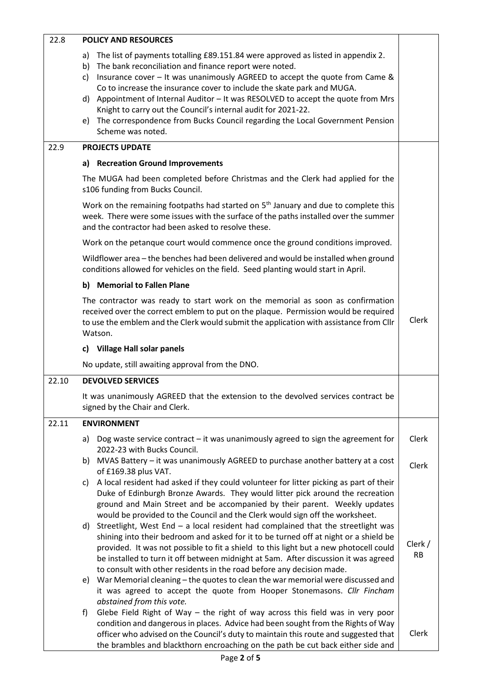| 22.8  | <b>POLICY AND RESOURCES</b>                                                                                                                                                                                                                                                                                                                                                                                                                                                                                                                                       |                      |  |  |  |
|-------|-------------------------------------------------------------------------------------------------------------------------------------------------------------------------------------------------------------------------------------------------------------------------------------------------------------------------------------------------------------------------------------------------------------------------------------------------------------------------------------------------------------------------------------------------------------------|----------------------|--|--|--|
|       | The list of payments totalling £89.151.84 were approved as listed in appendix 2.<br>a)<br>The bank reconciliation and finance report were noted.<br>b)<br>Insurance cover - It was unanimously AGREED to accept the quote from Came &<br>c)<br>Co to increase the insurance cover to include the skate park and MUGA.<br>d) Appointment of Internal Auditor - It was RESOLVED to accept the quote from Mrs<br>Knight to carry out the Council's internal audit for 2021-22.<br>The correspondence from Bucks Council regarding the Local Government Pension<br>e) |                      |  |  |  |
|       | Scheme was noted.                                                                                                                                                                                                                                                                                                                                                                                                                                                                                                                                                 |                      |  |  |  |
| 22.9  | <b>PROJECTS UPDATE</b>                                                                                                                                                                                                                                                                                                                                                                                                                                                                                                                                            |                      |  |  |  |
|       | <b>Recreation Ground Improvements</b><br>a)                                                                                                                                                                                                                                                                                                                                                                                                                                                                                                                       |                      |  |  |  |
|       | The MUGA had been completed before Christmas and the Clerk had applied for the<br>s106 funding from Bucks Council.                                                                                                                                                                                                                                                                                                                                                                                                                                                |                      |  |  |  |
|       | Work on the remaining footpaths had started on 5 <sup>th</sup> January and due to complete this<br>week. There were some issues with the surface of the paths installed over the summer<br>and the contractor had been asked to resolve these.                                                                                                                                                                                                                                                                                                                    |                      |  |  |  |
|       | Work on the petanque court would commence once the ground conditions improved.                                                                                                                                                                                                                                                                                                                                                                                                                                                                                    |                      |  |  |  |
|       | Wildflower area - the benches had been delivered and would be installed when ground<br>conditions allowed for vehicles on the field. Seed planting would start in April.                                                                                                                                                                                                                                                                                                                                                                                          |                      |  |  |  |
|       | b) Memorial to Fallen Plane                                                                                                                                                                                                                                                                                                                                                                                                                                                                                                                                       |                      |  |  |  |
|       | The contractor was ready to start work on the memorial as soon as confirmation<br>received over the correct emblem to put on the plaque. Permission would be required<br>to use the emblem and the Clerk would submit the application with assistance from Cllr<br>Watson.                                                                                                                                                                                                                                                                                        |                      |  |  |  |
|       | c) Village Hall solar panels                                                                                                                                                                                                                                                                                                                                                                                                                                                                                                                                      |                      |  |  |  |
|       | No update, still awaiting approval from the DNO.                                                                                                                                                                                                                                                                                                                                                                                                                                                                                                                  |                      |  |  |  |
| 22.10 | <b>DEVOLVED SERVICES</b>                                                                                                                                                                                                                                                                                                                                                                                                                                                                                                                                          |                      |  |  |  |
|       | It was unanimously AGREED that the extension to the devolved services contract be<br>signed by the Chair and Clerk.                                                                                                                                                                                                                                                                                                                                                                                                                                               |                      |  |  |  |
| 22.11 | <b>ENVIRONMENT</b>                                                                                                                                                                                                                                                                                                                                                                                                                                                                                                                                                |                      |  |  |  |
|       | Dog waste service contract - it was unanimously agreed to sign the agreement for<br>a)<br>2022-23 with Bucks Council.                                                                                                                                                                                                                                                                                                                                                                                                                                             | Clerk                |  |  |  |
|       | MVAS Battery - it was unanimously AGREED to purchase another battery at a cost<br>b)<br>of £169.38 plus VAT.                                                                                                                                                                                                                                                                                                                                                                                                                                                      | Clerk                |  |  |  |
|       | A local resident had asked if they could volunteer for litter picking as part of their<br>C)                                                                                                                                                                                                                                                                                                                                                                                                                                                                      |                      |  |  |  |
|       | Duke of Edinburgh Bronze Awards. They would litter pick around the recreation<br>ground and Main Street and be accompanied by their parent. Weekly updates<br>would be provided to the Council and the Clerk would sign off the worksheet.<br>d) Streetlight, West End - a local resident had complained that the streetlight was<br>shining into their bedroom and asked for it to be turned off at night or a shield be                                                                                                                                         |                      |  |  |  |
|       | provided. It was not possible to fit a shield to this light but a new photocell could<br>be installed to turn it off between midnight at 5am. After discussion it was agreed<br>to consult with other residents in the road before any decision made.<br>War Memorial cleaning - the quotes to clean the war memorial were discussed and<br>e)                                                                                                                                                                                                                    | Clerk /<br><b>RB</b> |  |  |  |
|       | it was agreed to accept the quote from Hooper Stonemasons. Cllr Fincham<br>abstained from this vote.                                                                                                                                                                                                                                                                                                                                                                                                                                                              |                      |  |  |  |
|       | Glebe Field Right of Way - the right of way across this field was in very poor<br>f)                                                                                                                                                                                                                                                                                                                                                                                                                                                                              |                      |  |  |  |
|       | condition and dangerous in places. Advice had been sought from the Rights of Way<br>officer who advised on the Council's duty to maintain this route and suggested that                                                                                                                                                                                                                                                                                                                                                                                           | Clerk                |  |  |  |
|       | the brambles and blackthorn encroaching on the path be cut back either side and                                                                                                                                                                                                                                                                                                                                                                                                                                                                                   |                      |  |  |  |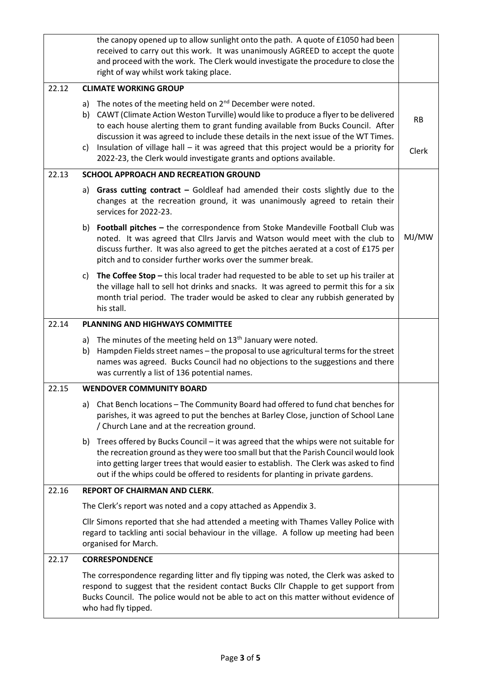|       | the canopy opened up to allow sunlight onto the path. A quote of £1050 had been<br>received to carry out this work. It was unanimously AGREED to accept the quote<br>and proceed with the work. The Clerk would investigate the procedure to close the<br>right of way whilst work taking place.                                                                                                                                                                                                                         |                    |  |  |
|-------|--------------------------------------------------------------------------------------------------------------------------------------------------------------------------------------------------------------------------------------------------------------------------------------------------------------------------------------------------------------------------------------------------------------------------------------------------------------------------------------------------------------------------|--------------------|--|--|
| 22.12 | <b>CLIMATE WORKING GROUP</b>                                                                                                                                                                                                                                                                                                                                                                                                                                                                                             |                    |  |  |
|       | The notes of the meeting held on 2 <sup>nd</sup> December were noted.<br>a)<br>CAWT (Climate Action Weston Turville) would like to produce a flyer to be delivered<br>b)<br>to each house alerting them to grant funding available from Bucks Council. After<br>discussion it was agreed to include these details in the next issue of the WT Times.<br>Insulation of village hall - it was agreed that this project would be a priority for<br>C)<br>2022-23, the Clerk would investigate grants and options available. | <b>RB</b><br>Clerk |  |  |
| 22.13 | <b>SCHOOL APPROACH AND RECREATION GROUND</b>                                                                                                                                                                                                                                                                                                                                                                                                                                                                             |                    |  |  |
|       | Grass cutting contract - Goldleaf had amended their costs slightly due to the<br>a)<br>changes at the recreation ground, it was unanimously agreed to retain their<br>services for 2022-23.                                                                                                                                                                                                                                                                                                                              |                    |  |  |
|       | <b>Football pitches - the correspondence from Stoke Mandeville Football Club was</b><br>b)<br>noted. It was agreed that Cllrs Jarvis and Watson would meet with the club to<br>discuss further. It was also agreed to get the pitches aerated at a cost of £175 per<br>pitch and to consider further works over the summer break.                                                                                                                                                                                        | MJ/MW              |  |  |
|       | The Coffee Stop $-$ this local trader had requested to be able to set up his trailer at<br>C)<br>the village hall to sell hot drinks and snacks. It was agreed to permit this for a six<br>month trial period. The trader would be asked to clear any rubbish generated by<br>his stall.                                                                                                                                                                                                                                 |                    |  |  |
| 22.14 | PLANNING AND HIGHWAYS COMMITTEE                                                                                                                                                                                                                                                                                                                                                                                                                                                                                          |                    |  |  |
|       | The minutes of the meeting held on 13 <sup>th</sup> January were noted.<br>a)<br>Hampden Fields street names - the proposal to use agricultural terms for the street<br>b)<br>names was agreed. Bucks Council had no objections to the suggestions and there<br>was currently a list of 136 potential names.                                                                                                                                                                                                             |                    |  |  |
| 22.15 | <b>WENDOVER COMMUNITY BOARD</b>                                                                                                                                                                                                                                                                                                                                                                                                                                                                                          |                    |  |  |
|       | Chat Bench locations - The Community Board had offered to fund chat benches for<br>a)<br>parishes, it was agreed to put the benches at Barley Close, junction of School Lane<br>/ Church Lane and at the recreation ground.                                                                                                                                                                                                                                                                                              |                    |  |  |
|       | Trees offered by Bucks Council – it was agreed that the whips were not suitable for<br>b)<br>the recreation ground as they were too small but that the Parish Council would look<br>into getting larger trees that would easier to establish. The Clerk was asked to find<br>out if the whips could be offered to residents for planting in private gardens.                                                                                                                                                             |                    |  |  |
| 22.16 | REPORT OF CHAIRMAN AND CLERK.                                                                                                                                                                                                                                                                                                                                                                                                                                                                                            |                    |  |  |
|       | The Clerk's report was noted and a copy attached as Appendix 3.                                                                                                                                                                                                                                                                                                                                                                                                                                                          |                    |  |  |
|       | Cllr Simons reported that she had attended a meeting with Thames Valley Police with<br>regard to tackling anti social behaviour in the village. A follow up meeting had been<br>organised for March.                                                                                                                                                                                                                                                                                                                     |                    |  |  |
| 22.17 | <b>CORRESPONDENCE</b>                                                                                                                                                                                                                                                                                                                                                                                                                                                                                                    |                    |  |  |
|       | The correspondence regarding litter and fly tipping was noted, the Clerk was asked to<br>respond to suggest that the resident contact Bucks Cllr Chapple to get support from<br>Bucks Council. The police would not be able to act on this matter without evidence of<br>who had fly tipped.                                                                                                                                                                                                                             |                    |  |  |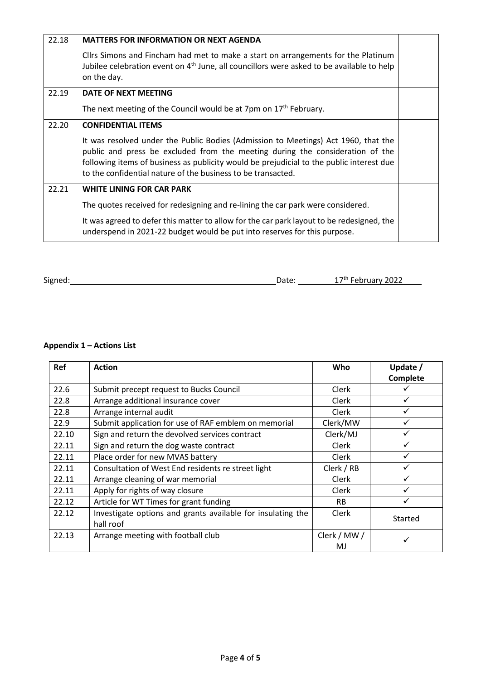| 22.18 | <b>MATTERS FOR INFORMATION OR NEXT AGENDA</b><br>Cllrs Simons and Fincham had met to make a start on arrangements for the Platinum<br>Jubilee celebration event on 4 <sup>th</sup> June, all councillors were asked to be available to help<br>on the day.                                                                      |  |
|-------|---------------------------------------------------------------------------------------------------------------------------------------------------------------------------------------------------------------------------------------------------------------------------------------------------------------------------------|--|
| 22.19 | DATE OF NEXT MEETING                                                                                                                                                                                                                                                                                                            |  |
|       | The next meeting of the Council would be at 7pm on 17 <sup>th</sup> February.                                                                                                                                                                                                                                                   |  |
| 22.20 | <b>CONFIDENTIAL ITEMS</b>                                                                                                                                                                                                                                                                                                       |  |
|       | It was resolved under the Public Bodies (Admission to Meetings) Act 1960, that the<br>public and press be excluded from the meeting during the consideration of the<br>following items of business as publicity would be prejudicial to the public interest due<br>to the confidential nature of the business to be transacted. |  |
| 22.21 | <b>WHITE LINING FOR CAR PARK</b>                                                                                                                                                                                                                                                                                                |  |
|       | The quotes received for redesigning and re-lining the car park were considered.                                                                                                                                                                                                                                                 |  |
|       | It was agreed to defer this matter to allow for the car park layout to be redesigned, the<br>underspend in 2021-22 budget would be put into reserves for this purpose.                                                                                                                                                          |  |

Signed: Signed: 2022

# **Appendix 1 – Actions List**

| <b>Ref</b> | <b>Action</b>                                               | Who          | Update $/$ |
|------------|-------------------------------------------------------------|--------------|------------|
|            |                                                             |              | Complete   |
| 22.6       | Submit precept request to Bucks Council                     | Clerk        |            |
| 22.8       | Arrange additional insurance cover                          | Clerk        |            |
| 22.8       | Arrange internal audit                                      | Clerk        |            |
| 22.9       | Submit application for use of RAF emblem on memorial        | Clerk/MW     |            |
| 22.10      | Sign and return the devolved services contract              | Clerk/MJ     | ✓          |
| 22.11      | Sign and return the dog waste contract                      | Clerk        |            |
| 22.11      | Place order for new MVAS battery                            | Clerk        |            |
| 22.11      | Consultation of West End residents re street light          | Clerk / RB   |            |
| 22.11      | Arrange cleaning of war memorial                            | Clerk        |            |
| 22.11      | Apply for rights of way closure                             | Clerk        |            |
| 22.12      | Article for WT Times for grant funding                      | <b>RB</b>    |            |
| 22.12      | Investigate options and grants available for insulating the | Clerk        | Started    |
|            | hall roof                                                   |              |            |
| 22.13      | Arrange meeting with football club                          | Clerk / MW / |            |
|            |                                                             | MJ           |            |